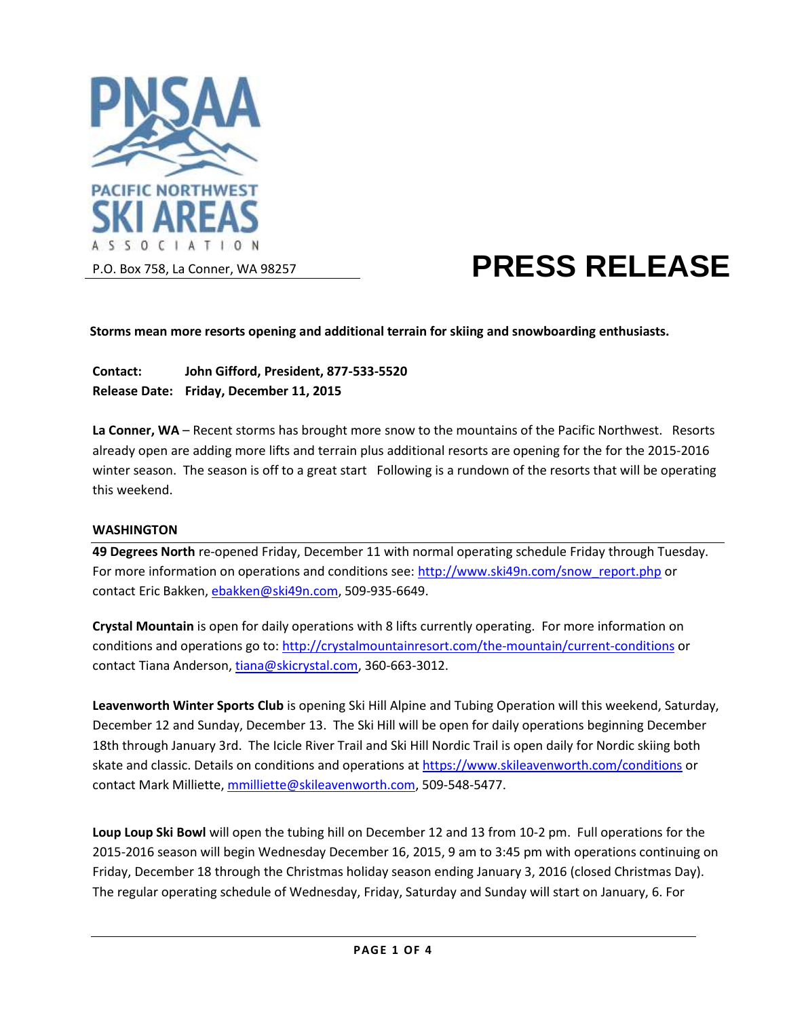

# **PRESS RELEASE**

**Storms mean more resorts opening and additional terrain for skiing and snowboarding enthusiasts.**

**Contact: John Gifford, President, 877-533-5520 Release Date: Friday, December 11, 2015**

**La Conner, WA** – Recent storms has brought more snow to the mountains of the Pacific Northwest. Resorts already open are adding more lifts and terrain plus additional resorts are opening for the for the 2015-2016 winter season. The season is off to a great start Following is a rundown of the resorts that will be operating this weekend.

### **WASHINGTON**

**49 Degrees North** re-opened Friday, December 11 with normal operating schedule Friday through Tuesday. For more information on operations and conditions see: [http://www.ski49n.com/snow\\_report.php](http://www.ski49n.com/snow_report.php) or contact Eric Bakken[, ebakken@ski49n.com,](mailto:ebakken@ski49n.com) 509-935-6649.

**Crystal Mountain** is open for daily operations with 8 lifts currently operating. For more information on conditions and operations go to[: http://crystalmountainresort.com/the-mountain/current-conditions](http://crystalmountainresort.com/the-mountain/current-conditions) or contact Tiana Anderson, [tiana@skicrystal.com,](mailto:tiana@skicrystal.com) 360-663-3012.

**Leavenworth Winter Sports Club** is opening Ski Hill Alpine and Tubing Operation will this weekend, Saturday, December 12 and Sunday, December 13. The Ski Hill will be open for daily operations beginning December 18th through January 3rd. The Icicle River Trail and Ski Hill Nordic Trail is open daily for Nordic skiing both skate and classic. Details on conditions and operations a[t https://www.skileavenworth.com/conditions](https://www.skileavenworth.com/conditions) or contact Mark Milliette, [mmilliette@skileavenworth.com,](mailto:mmilliette@skileavenworth.com) 509-548-5477.

**Loup Loup Ski Bowl** will open the tubing hill on December 12 and 13 from 10-2 pm. Full operations for the 2015-2016 season will begin Wednesday December 16, 2015, 9 am to 3:45 pm with operations continuing on Friday, December 18 through the Christmas holiday season ending January 3, 2016 (closed Christmas Day). The regular operating schedule of Wednesday, Friday, Saturday and Sunday will start on January, 6. For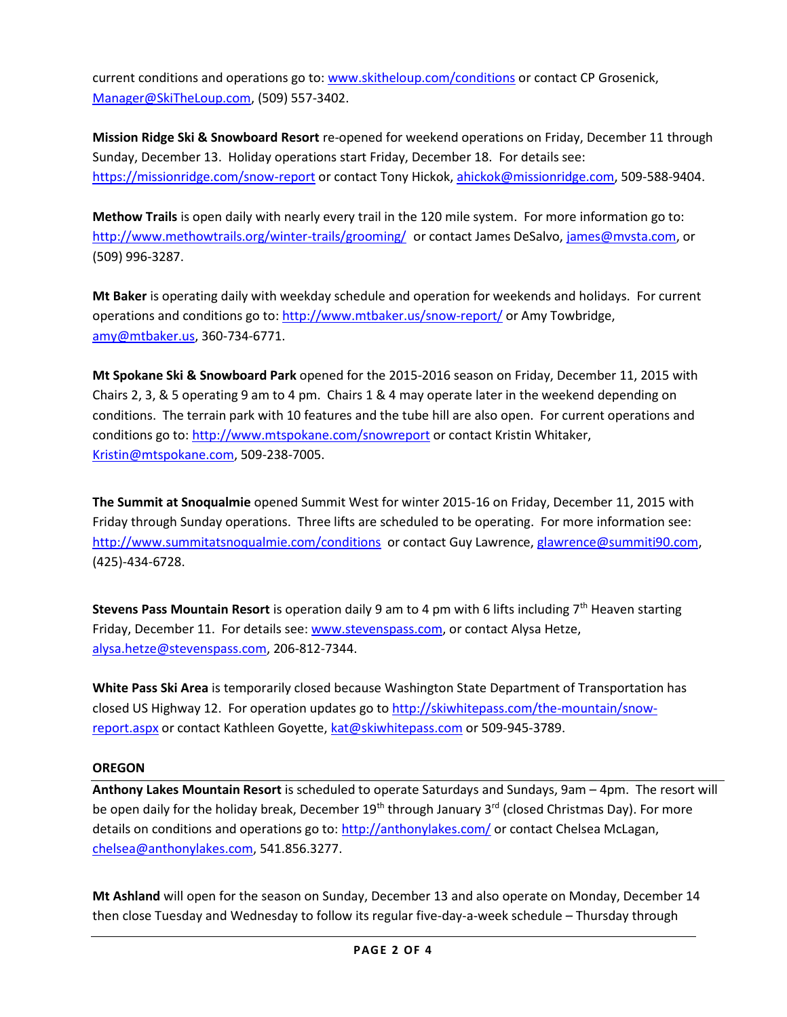current conditions and operations go to: [www.skitheloup.com/conditions](http://www.skitheloup.com/conditions) or contact CP Grosenick, [Manager@SkiTheLoup.com,](mailto:Manager@SkiTheLoup.com) (509) 557-3402.

**Mission Ridge Ski & Snowboard Resort** re-opened for weekend operations on Friday, December 11 through Sunday, December 13. Holiday operations start Friday, December 18. For details see: <https://missionridge.com/snow-report> or contact Tony Hickok[, ahickok@missionridge.com,](mailto:ahickok@missionridge.com) 509-588-9404.

**Methow Trails** is open daily with nearly every trail in the 120 mile system. For more information go to: <http://www.methowtrails.org/winter-trails/grooming/> or contact James DeSalvo, [james@mvsta.com,](mailto:james@mvsta.com) or (509) 996-3287.

**Mt Baker** is operating daily with weekday schedule and operation for weekends and holidays. For current operations and conditions go to[: http://www.mtbaker.us/snow-report/](http://www.mtbaker.us/snow-report/) or Amy Towbridge, [amy@mtbaker.us,](mailto:amy@mtbaker.us) 360-734-6771.

**Mt Spokane Ski & Snowboard Park** opened for the 2015-2016 season on Friday, December 11, 2015 with Chairs 2, 3, & 5 operating 9 am to 4 pm. Chairs 1 & 4 may operate later in the weekend depending on conditions. The terrain park with 10 features and the tube hill are also open. For current operations and conditions go to[: http://www.mtspokane.com/snowreport](http://www.mtspokane.com/snowreport) or contact Kristin Whitaker, [Kristin@mtspokane.com,](mailto:Kristin@mtspokane.com) 509-238-7005.

**The Summit at Snoqualmie** opened Summit West for winter 2015-16 on Friday, December 11, 2015 with Friday through Sunday operations. Three lifts are scheduled to be operating. For more information see: <http://www.summitatsnoqualmie.com/conditions>or contact Guy Lawrence, [glawrence@summiti90.com,](mailto:glawrence@summiti90.com) (425)-434-6728.

**Stevens Pass Mountain Resort** is operation daily 9 am to 4 pm with 6 lifts including 7<sup>th</sup> Heaven starting Friday, December 11. For details see: [www.stevenspass.com,](http://www.stevenspass.com/) or contact Alysa Hetze, [alysa.hetze@stevenspass.com,](mailto:alysa.hetze@stevenspass.com) 206-812-7344.

**White Pass Ski Area** is temporarily closed because Washington State Department of Transportation has closed US Highway 12. For operation updates go to [http://skiwhitepass.com/the-mountain/snow](http://skiwhitepass.com/the-mountain/snow-report.aspx)[report.aspx](http://skiwhitepass.com/the-mountain/snow-report.aspx) or contact Kathleen Goyette, [kat@skiwhitepass.com](mailto:kat@skiwhitepass.com) or 509-945-3789.

## **OREGON**

**Anthony Lakes Mountain Resort** is scheduled to operate Saturdays and Sundays, 9am – 4pm. The resort will be open daily for the holiday break, December 19<sup>th</sup> through January 3<sup>rd</sup> (closed Christmas Day). For more details on conditions and operations go to[: http://anthonylakes.com/](http://anthonylakes.com/) or contact Chelsea McLagan, [chelsea@anthonylakes.com,](mailto:chelsea@anthonylakes.com) 541.856.3277.

**Mt Ashland** will open for the season on Sunday, December 13 and also operate on Monday, December 14 then close Tuesday and Wednesday to follow its regular five-day-a-week schedule – Thursday through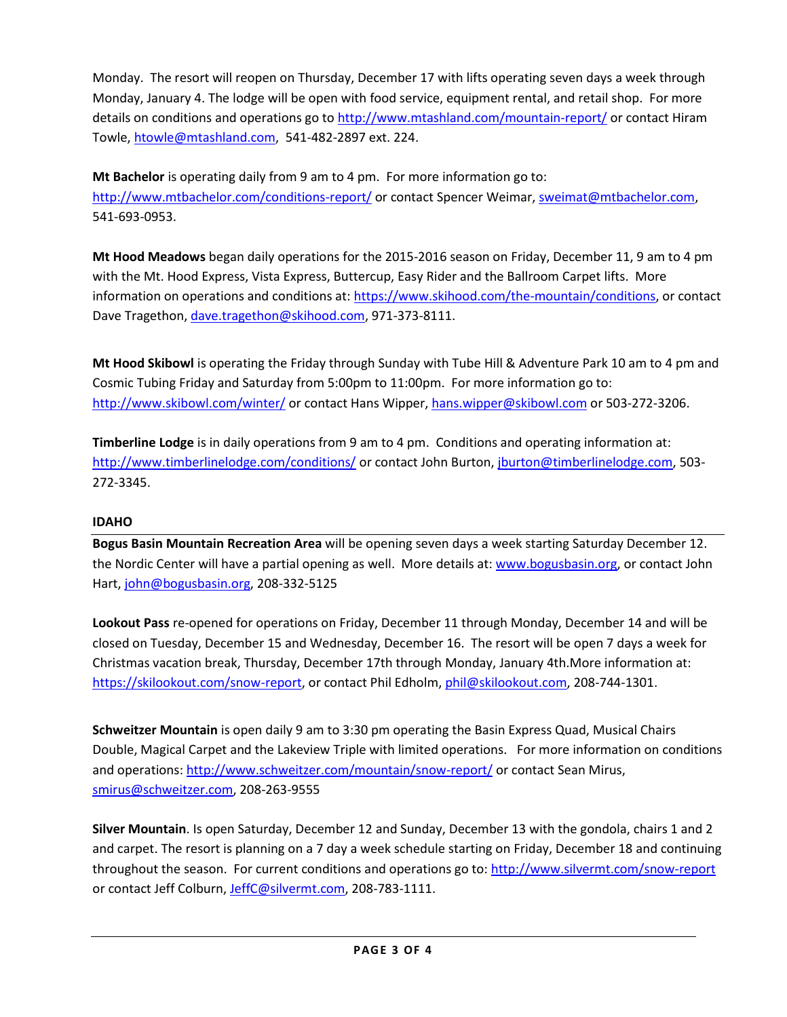Monday. The resort will reopen on Thursday, December 17 with lifts operating seven days a week through Monday, January 4. The lodge will be open with food service, equipment rental, and retail shop. For more details on conditions and operations go t[o http://www.mtashland.com/mountain-report/](http://www.mtashland.com/mountain-report/) or contact Hiram Towle, [htowle@mtashland.com,](mailto:htowle@mtashland.com) 541-482-2897 ext. 224.

**Mt Bachelor** is operating daily from 9 am to 4 pm. For more information go to: <http://www.mtbachelor.com/conditions-report/> or contact Spencer Weimar, [sweimat@mtbachelor.com,](mailto:sweimat@mtbachelor.com) 541-693-0953.

**Mt Hood Meadows** began daily operations for the 2015-2016 season on Friday, December 11, 9 am to 4 pm with the Mt. Hood Express, Vista Express, Buttercup, Easy Rider and the Ballroom Carpet lifts. More information on operations and conditions at: [https://www.skihood.com/the-mountain/conditions,](https://www.skihood.com/the-mountain/conditions) or contact Dave Tragethon[, dave.tragethon@skihood.com,](mailto:dave.tragethon@skihood.com) 971-373-8111.

**Mt Hood Skibowl** is operating the Friday through Sunday with Tube Hill & Adventure Park 10 am to 4 pm and Cosmic Tubing Friday and Saturday from 5:00pm to 11:00pm. For more information go to: <http://www.skibowl.com/winter/> or contact Hans Wipper, [hans.wipper@skibowl.com](mailto:hans.wipper@skibowl.com) or 503-272-3206.

**Timberline Lodge** is in daily operations from 9 am to 4 pm. Conditions and operating information at: <http://www.timberlinelodge.com/conditions/> or contact John Burton, [jburton@timberlinelodge.com,](mailto:jburton@timberlinelodge.com) 503-272-3345.

# **IDAHO**

**Bogus Basin Mountain Recreation Area** will be opening seven days a week starting Saturday December 12. the Nordic Center will have a partial opening as well. More details at: [www.bogusbasin.org,](http://www.bogusbasin.org/) or contact John Hart, [john@bogusbasin.org,](mailto:john@bogusbasin.org) 208-332-5125

**Lookout Pass** re-opened for operations on Friday, December 11 through Monday, December 14 and will be closed on Tuesday, December 15 and Wednesday, December 16. The resort will be open 7 days a week for Christmas vacation break, Thursday, December 17th through Monday, January 4th.More information at: [https://skilookout.com/snow-report,](https://skilookout.com/snow-report) or contact Phil Edholm[, phil@skilookout.com,](mailto:phil@skilookout.com) 208-744-1301.

**Schweitzer Mountain** is open daily 9 am to 3:30 pm operating the Basin Express Quad, Musical Chairs Double, Magical Carpet and the Lakeview Triple with limited operations.For more information on conditions and operations:<http://www.schweitzer.com/mountain/snow-report/> or contact Sean Mirus, [smirus@schweitzer.com,](mailto:smirus@schweitzer.com) 208-263-9555

**Silver Mountain**. Is open Saturday, December 12 and Sunday, December 13 with the gondola, chairs 1 and 2 and carpet. The resort is planning on a 7 day a week schedule starting on Friday, December 18 and continuing throughout the season. For current conditions and operations go to:<http://www.silvermt.com/snow-report> or contact Jeff Colburn, [JeffC@silvermt.com,](mailto:JeffC@silvermt.com) 208-783-1111.